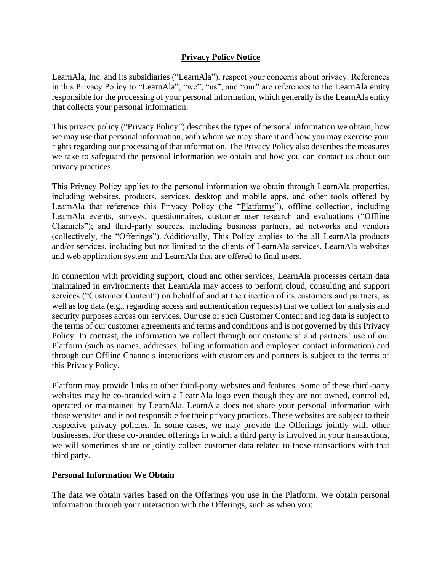# **Privacy Policy Notice**

LearnAla, Inc. and its subsidiaries ("LearnAla"), respect your concerns about privacy. References in this Privacy Policy to "LearnAla", "we", "us", and "our" are references to the LearnAla entity responsible for the processing of your personal information, which generally is the LearnAla entity that collects your personal information.

This privacy policy ("Privacy Policy") describes the types of personal information we obtain, how we may use that personal information, with whom we may share it and how you may exercise your rights regarding our processing of that information. The Privacy Policy also describes the measures we take to safeguard the personal information we obtain and how you can contact us about our privacy practices.

This Privacy Policy applies to the personal information we obtain through LearnAla properties, including websites, products, services, desktop and mobile apps, and other tools offered by LearnAla that reference this Privacy Policy (the "Platforms"), offline collection, including LearnAla events, surveys, questionnaires, customer user research and evaluations ("Offline Channels"); and third-party sources, including business partners, ad networks and vendors (collectively, the "Offerings"). Additionally, This Policy applies to the all LearnAla products and/or services, including but not limited to the clients of LearnAla services, LearnAla websites and web application system and LearnAla that are offered to final users.

In connection with providing support, cloud and other services, LearnAla processes certain data maintained in environments that LearnAla may access to perform cloud, consulting and support services ("Customer Content") on behalf of and at the direction of its customers and partners, as well as log data (e.g., regarding access and authentication requests) that we collect for analysis and security purposes across our services. Our use of such Customer Content and log data is subject to the terms of our customer agreements and terms and conditions and is not governed by this Privacy Policy. In contrast, the information we collect through our customers' and partners' use of our Platform (such as names, addresses, billing information and employee contact information) and through our Offline Channels interactions with customers and partners is subject to the terms of this Privacy Policy.

Platform may provide links to other third-party websites and features. Some of these third-party websites may be co-branded with a LearnAla logo even though they are not owned, controlled, operated or maintained by LearnAla. LearnAla does not share your personal information with those websites and is not responsible for their privacy practices. These websites are subject to their respective privacy policies. In some cases, we may provide the Offerings jointly with other businesses. For these co-branded offerings in which a third party is involved in your transactions, we will sometimes share or jointly collect customer data related to those transactions with that third party.

# **Personal Information We Obtain**

The data we obtain varies based on the Offerings you use in the Platform. We obtain personal information through your interaction with the Offerings, such as when you: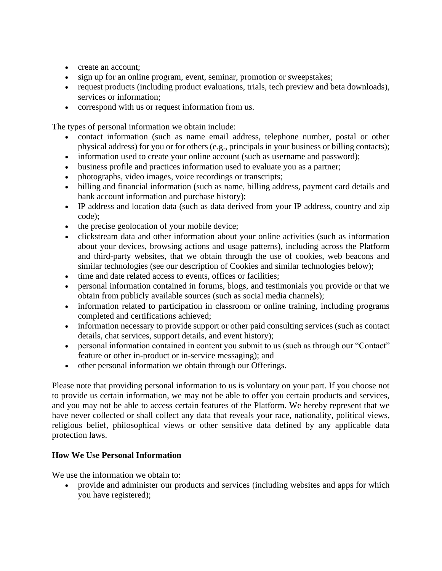- create an account:
- sign up for an online program, event, seminar, promotion or sweepstakes;
- request products (including product evaluations, trials, tech preview and beta downloads), services or information;
- correspond with us or request information from us.

The types of personal information we obtain include:

- contact information (such as name email address, telephone number, postal or other physical address) for you or for others (e.g., principals in your business or billing contacts);
- information used to create your online account (such as username and password);
- business profile and practices information used to evaluate you as a partner;
- photographs, video images, voice recordings or transcripts;
- billing and financial information (such as name, billing address, payment card details and bank account information and purchase history);
- IP address and location data (such as data derived from your IP address, country and zip code);
- the precise geolocation of your mobile device;
- clickstream data and other information about your online activities (such as information about your devices, browsing actions and usage patterns), including across the Platform and third-party websites, that we obtain through the use of cookies, web beacons and similar technologies (see our description of Cookies and similar technologies below);
- time and date related access to events, offices or facilities;
- personal information contained in forums, blogs, and testimonials you provide or that we obtain from publicly available sources (such as social media channels);
- information related to participation in classroom or online training, including programs completed and certifications achieved;
- information necessary to provide support or other paid consulting services (such as contact details, chat services, support details, and event history);
- personal information contained in content you submit to us (such as through our "Contact" feature or other in-product or in-service messaging); and
- other personal information we obtain through our Offerings.

Please note that providing personal information to us is voluntary on your part. If you choose not to provide us certain information, we may not be able to offer you certain products and services, and you may not be able to access certain features of the Platform. We hereby represent that we have never collected or shall collect any data that reveals your race, nationality, political views, religious belief, philosophical views or other sensitive data defined by any applicable data protection laws.

# **How We Use Personal Information**

We use the information we obtain to:

• provide and administer our products and services (including websites and apps for which you have registered);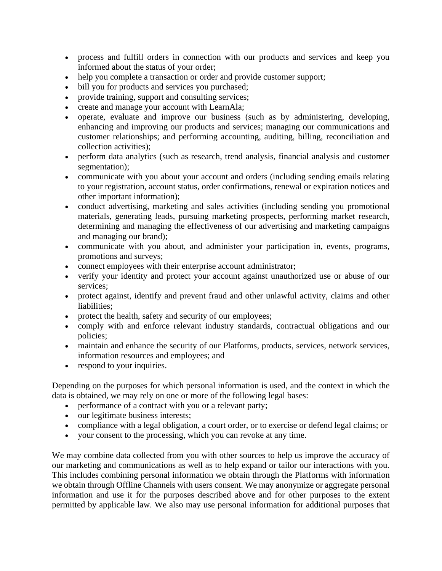- process and fulfill orders in connection with our products and services and keep you informed about the status of your order;
- help you complete a transaction or order and provide customer support;
- bill you for products and services you purchased;
- provide training, support and consulting services;
- create and manage your account with LearnAla;
- operate, evaluate and improve our business (such as by administering, developing, enhancing and improving our products and services; managing our communications and customer relationships; and performing accounting, auditing, billing, reconciliation and collection activities);
- perform data analytics (such as research, trend analysis, financial analysis and customer segmentation);
- communicate with you about your account and orders (including sending emails relating to your registration, account status, order confirmations, renewal or expiration notices and other important information);
- conduct advertising, marketing and sales activities (including sending you promotional materials, generating leads, pursuing marketing prospects, performing market research, determining and managing the effectiveness of our advertising and marketing campaigns and managing our brand);
- communicate with you about, and administer your participation in, events, programs, promotions and surveys;
- connect employees with their enterprise account administrator;
- verify your identity and protect your account against unauthorized use or abuse of our services;
- protect against, identify and prevent fraud and other unlawful activity, claims and other liabilities;
- protect the health, safety and security of our employees;
- comply with and enforce relevant industry standards, contractual obligations and our policies;
- maintain and enhance the security of our Platforms, products, services, network services, information resources and employees; and
- respond to your inquiries.

Depending on the purposes for which personal information is used, and the context in which the data is obtained, we may rely on one or more of the following legal bases:

- performance of a contract with you or a relevant party;
- our legitimate business interests;
- compliance with a legal obligation, a court order, or to exercise or defend legal claims; or
- your consent to the processing, which you can revoke at any time.

We may combine data collected from you with other sources to help us improve the accuracy of our marketing and communications as well as to help expand or tailor our interactions with you. This includes combining personal information we obtain through the Platforms with information we obtain through Offline Channels with users consent. We may anonymize or aggregate personal information and use it for the purposes described above and for other purposes to the extent permitted by applicable law. We also may use personal information for additional purposes that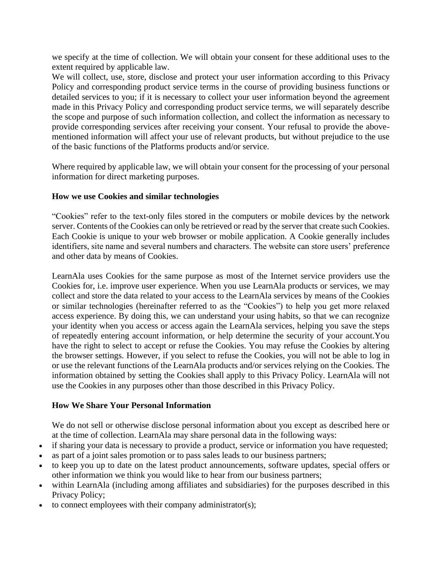we specify at the time of collection. We will obtain your consent for these additional uses to the extent required by applicable law.

We will collect, use, store, disclose and protect your user information according to this Privacy Policy and corresponding product service terms in the course of providing business functions or detailed services to you; if it is necessary to collect your user information beyond the agreement made in this Privacy Policy and corresponding product service terms, we will separately describe the scope and purpose of such information collection, and collect the information as necessary to provide corresponding services after receiving your consent. Your refusal to provide the abovementioned information will affect your use of relevant products, but without prejudice to the use of the basic functions of the Platforms products and/or service.

Where required by applicable law, we will obtain your consent for the processing of your personal information for direct marketing purposes.

### **How we use Cookies and similar technologies**

"Cookies" refer to the text-only files stored in the computers or mobile devices by the network server. Contents of the Cookies can only be retrieved or read by the server that create such Cookies. Each Cookie is unique to your web browser or mobile application. A Cookie generally includes identifiers, site name and several numbers and characters. The website can store users' preference and other data by means of Cookies.

LearnAla uses Cookies for the same purpose as most of the Internet service providers use the Cookies for, i.e. improve user experience. When you use LearnAla products or services, we may collect and store the data related to your access to the LearnAla services by means of the Cookies or similar technologies (hereinafter referred to as the "Cookies") to help you get more relaxed access experience. By doing this, we can understand your using habits, so that we can recognize your identity when you access or access again the LearnAla services, helping you save the steps of repeatedly entering account information, or help determine the security of your account.You have the right to select to accept or refuse the Cookies. You may refuse the Cookies by altering the browser settings. However, if you select to refuse the Cookies, you will not be able to log in or use the relevant functions of the LearnAla products and/or services relying on the Cookies. The information obtained by setting the Cookies shall apply to this Privacy Policy. LearnAla will not use the Cookies in any purposes other than those described in this Privacy Policy.

#### **How We Share Your Personal Information**

We do not sell or otherwise disclose personal information about you except as described here or at the time of collection. LearnAla may share personal data in the following ways:

- if sharing your data is necessary to provide a product, service or information you have requested;
- as part of a joint sales promotion or to pass sales leads to our business partners;
- to keep you up to date on the latest product announcements, software updates, special offers or other information we think you would like to hear from our business partners;
- within LearnAla (including among affiliates and subsidiaries) for the purposes described in this Privacy Policy;
- to connect employees with their company administrator(s);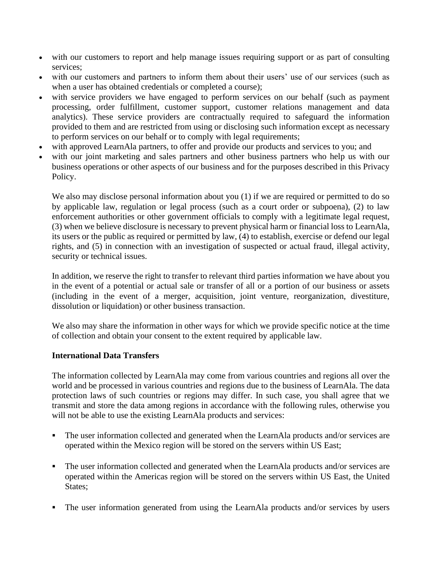- with our customers to report and help manage issues requiring support or as part of consulting services;
- with our customers and partners to inform them about their users' use of our services (such as when a user has obtained credentials or completed a course);
- with service providers we have engaged to perform services on our behalf (such as payment processing, order fulfillment, customer support, customer relations management and data analytics). These service providers are contractually required to safeguard the information provided to them and are restricted from using or disclosing such information except as necessary to perform services on our behalf or to comply with legal requirements;
- with approved LearnAla partners, to offer and provide our products and services to you; and
- with our joint marketing and sales partners and other business partners who help us with our business operations or other aspects of our business and for the purposes described in this Privacy Policy.

We also may disclose personal information about you (1) if we are required or permitted to do so by applicable law, regulation or legal process (such as a court order or subpoena), (2) to law enforcement authorities or other government officials to comply with a legitimate legal request, (3) when we believe disclosure is necessary to prevent physical harm or financial loss to LearnAla, its users or the public as required or permitted by law, (4) to establish, exercise or defend our legal rights, and (5) in connection with an investigation of suspected or actual fraud, illegal activity, security or technical issues.

In addition, we reserve the right to transfer to relevant third parties information we have about you in the event of a potential or actual sale or transfer of all or a portion of our business or assets (including in the event of a merger, acquisition, joint venture, reorganization, divestiture, dissolution or liquidation) or other business transaction.

We also may share the information in other ways for which we provide specific notice at the time of collection and obtain your consent to the extent required by applicable law.

# **International Data Transfers**

The information collected by LearnAla may come from various countries and regions all over the world and be processed in various countries and regions due to the business of LearnAla. The data protection laws of such countries or regions may differ. In such case, you shall agree that we transmit and store the data among regions in accordance with the following rules, otherwise you will not be able to use the existing LearnAla products and services:

- The user information collected and generated when the LearnAla products and/or services are operated within the Mexico region will be stored on the servers within US East;
- The user information collected and generated when the LearnAla products and/or services are operated within the Americas region will be stored on the servers within US East, the United States;
- The user information generated from using the LearnAla products and/or services by users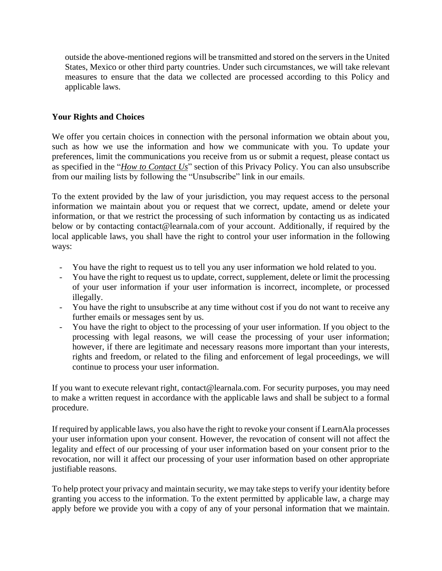outside the above-mentioned regions will be transmitted and stored on the servers in the United States, Mexico or other third party countries. Under such circumstances, we will take relevant measures to ensure that the data we collected are processed according to this Policy and applicable laws.

# **Your Rights and Choices**

We offer you certain choices in connection with the personal information we obtain about you, such as how we use the information and how we communicate with you. To update your preferences, limit the communications you receive from us or submit a request, please contact us as specified in the "*How to Contact Us*" section of this Privacy Policy. You can also unsubscribe from our mailing lists by following the "Unsubscribe" link in our emails.

To the extent provided by the law of your jurisdiction, you may request access to the personal information we maintain about you or request that we correct, update, amend or delete your information, or that we restrict the processing of such information by contacting us as indicated below or by contacting contact@learnala.com of your account. Additionally, if required by the local applicable laws, you shall have the right to control your user information in the following ways:

- You have the right to request us to tell you any user information we hold related to you.
- You have the right to request us to update, correct, supplement, delete or limit the processing of your user information if your user information is incorrect, incomplete, or processed illegally.
- You have the right to unsubscribe at any time without cost if you do not want to receive any further emails or messages sent by us.
- You have the right to object to the processing of your user information. If you object to the processing with legal reasons, we will cease the processing of your user information; however, if there are legitimate and necessary reasons more important than your interests, rights and freedom, or related to the filing and enforcement of legal proceedings, we will continue to process your user information.

If you want to execute relevant right, contact@learnala.com. For security purposes, you may need to make a written request in accordance with the applicable laws and shall be subject to a formal procedure.

If required by applicable laws, you also have the right to revoke your consent if LearnAla processes your user information upon your consent. However, the revocation of consent will not affect the legality and effect of our processing of your user information based on your consent prior to the revocation, nor will it affect our processing of your user information based on other appropriate justifiable reasons.

To help protect your privacy and maintain security, we may take steps to verify your identity before granting you access to the information. To the extent permitted by applicable law, a charge may apply before we provide you with a copy of any of your personal information that we maintain.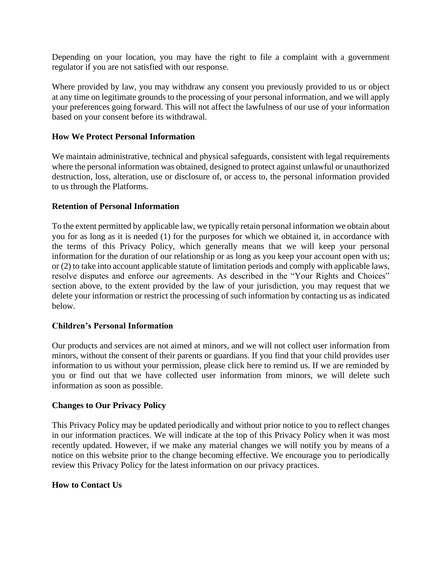Depending on your location, you may have the right to file a complaint with a government regulator if you are not satisfied with our response.

Where provided by law, you may withdraw any consent you previously provided to us or object at any time on legitimate grounds to the processing of your personal information, and we will apply your preferences going forward. This will not affect the lawfulness of our use of your information based on your consent before its withdrawal.

### **How We Protect Personal Information**

We maintain administrative, technical and physical safeguards, consistent with legal requirements where the personal information was obtained, designed to protect against unlawful or unauthorized destruction, loss, alteration, use or disclosure of, or access to, the personal information provided to us through the Platforms.

#### **Retention of Personal Information**

To the extent permitted by applicable law, we typically retain personal information we obtain about you for as long as it is needed (1) for the purposes for which we obtained it, in accordance with the terms of this Privacy Policy, which generally means that we will keep your personal information for the duration of our relationship or as long as you keep your account open with us; or (2) to take into account applicable statute of limitation periods and comply with applicable laws, resolve disputes and enforce our agreements. As described in the "Your Rights and Choices" section above, to the extent provided by the law of your jurisdiction, you may request that we delete your information or restrict the processing of such information by contacting us as indicated below.

#### **Children's Personal Information**

Our products and services are not aimed at minors, and we will not collect user information from minors, without the consent of their parents or guardians. If you find that your child provides user information to us without your permission, please click here to remind us. If we are reminded by you or find out that we have collected user information from minors, we will delete such information as soon as possible.

#### **Changes to Our Privacy Policy**

This Privacy Policy may be updated periodically and without prior notice to you to reflect changes in our information practices. We will indicate at the top of this Privacy Policy when it was most recently updated. However, if we make any material changes we will notify you by means of a notice on this website prior to the change becoming effective. We encourage you to periodically review this Privacy Policy for the latest information on our privacy practices.

#### **How to Contact Us**